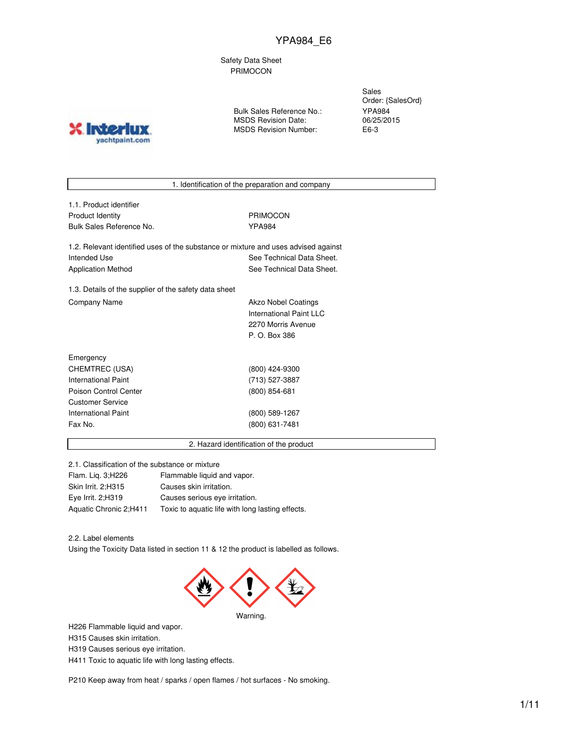Safety Data Sheet PRIMOCON

**X** Inter yachtpaint.com

Bulk Sales Reference No.: MSDS Revision Date: MSDS Revision Number:

Sales Order: {SalesOrd} YPA984 06/25/2015 E6-3

1. Identification of the preparation and company

1.1. Product identifier Product Identity **PRIMOCON** Bulk Sales Reference No. The Manus of the YPA984

1.2. Relevant identified uses of the substance or mixture and uses advised against Intended Use **See Technical Data Sheet.** See Technical Data Sheet. Application Method See Technical Data Sheet.

1.3. Details of the supplier of the safety data sheet Company Name **Akzo Nobel Coatings** Company Name

International Paint LLC 2270 Morris Avenue P. O. Box 386

| Emergency             |                 |
|-----------------------|-----------------|
| CHEMTREC (USA)        | (800) 424-9300  |
| International Paint   | (713) 527-3887  |
| Poison Control Center | $(800)$ 854-681 |
| Customer Service      |                 |
| International Paint   | (800) 589-1267  |
| Fax No.               | (800) 631-7481  |
|                       |                 |

2. Hazard identification of the product

2.1. Classification of the substance or mixture

Flam. Liq. 3;H226 Flammable liquid and vapor. Skin Irrit. 2;H315 Causes skin irritation. Eye Irrit. 2;H319 Causes serious eye irritation. Aquatic Chronic 2;H411 Toxic to aquatic life with long lasting effects.

2.2. Label elements

Using the Toxicity Data listed in section 11 & 12 the product is labelled as follows.



H226 Flammable liquid and vapor.

H315 Causes skin irritation.

H319 Causes serious eye irritation.

H411 Toxic to aquatic life with long lasting effects.

P210 Keep away from heat / sparks / open flames / hot surfaces - No smoking.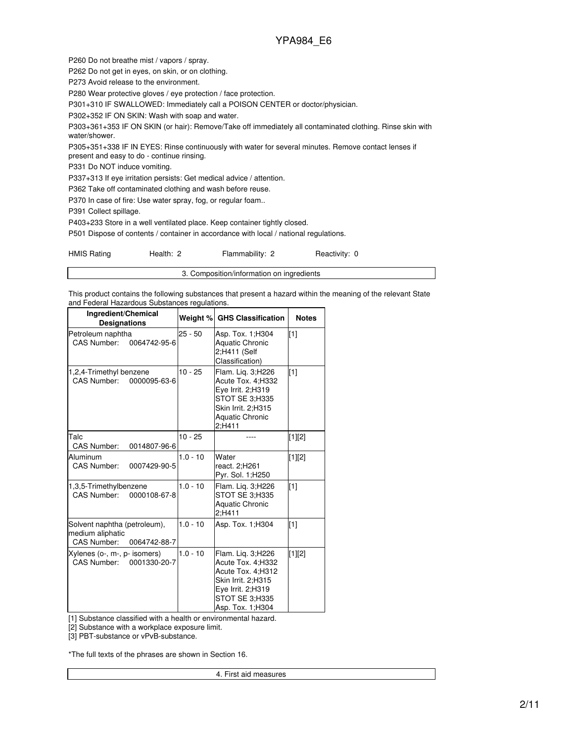P260 Do not breathe mist / vapors / spray.

P262 Do not get in eyes, on skin, or on clothing.

P273 Avoid release to the environment.

P280 Wear protective gloves / eye protection / face protection.

P301+310 IF SWALLOWED: Immediately call a POISON CENTER or doctor/physician.

P302+352 IF ON SKIN: Wash with soap and water.

P303+361+353 IF ON SKIN (or hair): Remove/Take off immediately all contaminated clothing. Rinse skin with water/shower.

P305+351+338 IF IN EYES: Rinse continuously with water for several minutes. Remove contact lenses if

present and easy to do - continue rinsing.

P331 Do NOT induce vomiting.

P337+313 If eye irritation persists: Get medical advice / attention.

P362 Take off contaminated clothing and wash before reuse.

P370 In case of fire: Use water spray, fog, or regular foam..

P391 Collect spillage.

P403+233 Store in a well ventilated place. Keep container tightly closed.

P501 Dispose of contents / container in accordance with local / national regulations.

| <b>HMIS Rating</b> | Health: 2 | Flammability: 2                           | Reactivity: 0 |
|--------------------|-----------|-------------------------------------------|---------------|
|                    |           | 3. Composition/information on ingredients |               |

This product contains the following substances that present a hazard within the meaning of the relevant State and Federal Hazardous Substances regulations.

| Ingredient/Chemical<br><b>Designations</b>                                      | Weight %   | <b>GHS Classification</b>                                                                                                                     | <b>Notes</b> |
|---------------------------------------------------------------------------------|------------|-----------------------------------------------------------------------------------------------------------------------------------------------|--------------|
| Petroleum naphtha<br>CAS Number:<br>0064742-95-6                                | $25 - 50$  | Asp. Tox. 1;H304<br><b>Aquatic Chronic</b><br>2;H411 (Self<br>Classification)                                                                 | $[1]$        |
| 1,2,4-Trimethyl benzene<br>CAS Number:<br>0000095-63-6                          | $10 - 25$  | Flam. Liq. 3;H226<br>Acute Tox. 4;H332<br>Eve Irrit. 2:H319<br>STOT SE 3:H335<br>Skin Irrit. 2:H315<br><b>Aquatic Chronic</b><br>2;H411       | [1]          |
| Talc<br><b>CAS Number:</b><br>0014807-96-6                                      | $10 - 25$  |                                                                                                                                               | $[1][2]$     |
| Aluminum<br><b>CAS Number:</b><br>0007429-90-5                                  | $1.0 - 10$ | Water<br>react. 2;H261<br>Pyr. Sol. 1;H250                                                                                                    | $[1][2]$     |
| 1,3,5-Trimethylbenzene<br>CAS Number:<br>0000108-67-8                           | $1.0 - 10$ | Flam. Lig. 3;H226<br>STOT SE 3:H335<br><b>Aquatic Chronic</b><br>2:H411                                                                       | [1]          |
| Solvent naphtha (petroleum),<br>medium aliphatic<br>CAS Number:<br>0064742-88-7 | $1.0 - 10$ | Asp. Tox. 1; H304                                                                                                                             | $[1]$        |
| Xylenes (o-, m-, p- isomers)<br>CAS Number: 0001330-20-7                        | $1.0 - 10$ | Flam. Liq. 3;H226<br>Acute Tox. 4;H332<br>Acute Tox. 4;H312<br>Skin Irrit. 2;H315<br>Eye Irrit. 2:H319<br>STOT SE 3:H335<br>Asp. Tox. 1; H304 | [1][2]       |

[1] Substance classified with a health or environmental hazard.

[2] Substance with a workplace exposure limit.

[3] PBT-substance or vPvB-substance.

\*The full texts of the phrases are shown in Section 16.

4. First aid measures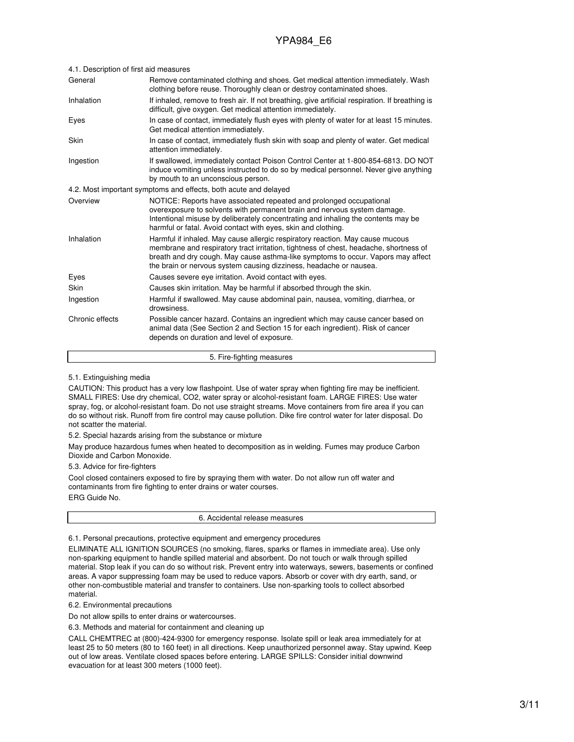| 4.1. Description of first ald measures |                                                                                                                                                                                                                                                                                                                                  |
|----------------------------------------|----------------------------------------------------------------------------------------------------------------------------------------------------------------------------------------------------------------------------------------------------------------------------------------------------------------------------------|
| General                                | Remove contaminated clothing and shoes. Get medical attention immediately. Wash<br>clothing before reuse. Thoroughly clean or destroy contaminated shoes.                                                                                                                                                                        |
| Inhalation                             | If inhaled, remove to fresh air. If not breathing, give artificial respiration. If breathing is<br>difficult, give oxygen. Get medical attention immediately.                                                                                                                                                                    |
| Eyes                                   | In case of contact, immediately flush eyes with plenty of water for at least 15 minutes.<br>Get medical attention immediately.                                                                                                                                                                                                   |
| Skin                                   | In case of contact, immediately flush skin with soap and plenty of water. Get medical<br>attention immediately.                                                                                                                                                                                                                  |
| Ingestion                              | If swallowed, immediately contact Poison Control Center at 1-800-854-6813. DO NOT<br>induce vomiting unless instructed to do so by medical personnel. Never give anything<br>by mouth to an unconscious person.                                                                                                                  |
|                                        | 4.2. Most important symptoms and effects, both acute and delayed                                                                                                                                                                                                                                                                 |
| Overview                               | NOTICE: Reports have associated repeated and prolonged occupational<br>overexposure to solvents with permanent brain and nervous system damage.<br>Intentional misuse by deliberately concentrating and inhaling the contents may be<br>harmful or fatal. Avoid contact with eyes, skin and clothing.                            |
| Inhalation                             | Harmful if inhaled. May cause allergic respiratory reaction. May cause mucous<br>membrane and respiratory tract irritation, tightness of chest, headache, shortness of<br>breath and dry cough. May cause asthma-like symptoms to occur. Vapors may affect<br>the brain or nervous system causing dizziness, headache or nausea. |
| Eyes                                   | Causes severe eve irritation. Avoid contact with eyes.                                                                                                                                                                                                                                                                           |
| Skin                                   | Causes skin irritation. May be harmful if absorbed through the skin.                                                                                                                                                                                                                                                             |
| Ingestion                              | Harmful if swallowed. May cause abdominal pain, nausea, vomiting, diarrhea, or<br>drowsiness.                                                                                                                                                                                                                                    |
| Chronic effects                        | Possible cancer hazard. Contains an ingredient which may cause cancer based on<br>animal data (See Section 2 and Section 15 for each ingredient). Risk of cancer<br>depends on duration and level of exposure.                                                                                                                   |
|                                        |                                                                                                                                                                                                                                                                                                                                  |

#### 4.1. Description of first aid measures

5. Fire-fighting measures

5.1. Extinguishing media

CAUTION: This product has a very low flashpoint. Use of water spray when fighting fire may be inefficient. SMALL FIRES: Use dry chemical, CO2, water spray or alcohol-resistant foam. LARGE FIRES: Use water spray, fog, or alcohol-resistant foam. Do not use straight streams. Move containers from fire area if you can do so without risk. Runoff from fire control may cause pollution. Dike fire control water for later disposal. Do not scatter the material.

5.2. Special hazards arising from the substance or mixture

May produce hazardous fumes when heated to decomposition as in welding. Fumes may produce Carbon Dioxide and Carbon Monoxide.

5.3. Advice for fire-fighters

Cool closed containers exposed to fire by spraying them with water. Do not allow run off water and contaminants from fire fighting to enter drains or water courses. ERG Guide No.



6.1. Personal precautions, protective equipment and emergency procedures

ELIMINATE ALL IGNITION SOURCES (no smoking, flares, sparks or flames in immediate area). Use only non-sparking equipment to handle spilled material and absorbent. Do not touch or walk through spilled material. Stop leak if you can do so without risk. Prevent entry into waterways, sewers, basements or confined areas. A vapor suppressing foam may be used to reduce vapors. Absorb or cover with dry earth, sand, or other non-combustible material and transfer to containers. Use non-sparking tools to collect absorbed material.

6.2. Environmental precautions

Do not allow spills to enter drains or watercourses.

6.3. Methods and material for containment and cleaning up

CALL CHEMTREC at (800)-424-9300 for emergency response. Isolate spill or leak area immediately for at least 25 to 50 meters (80 to 160 feet) in all directions. Keep unauthorized personnel away. Stay upwind. Keep out of low areas. Ventilate closed spaces before entering. LARGE SPILLS: Consider initial downwind evacuation for at least 300 meters (1000 feet).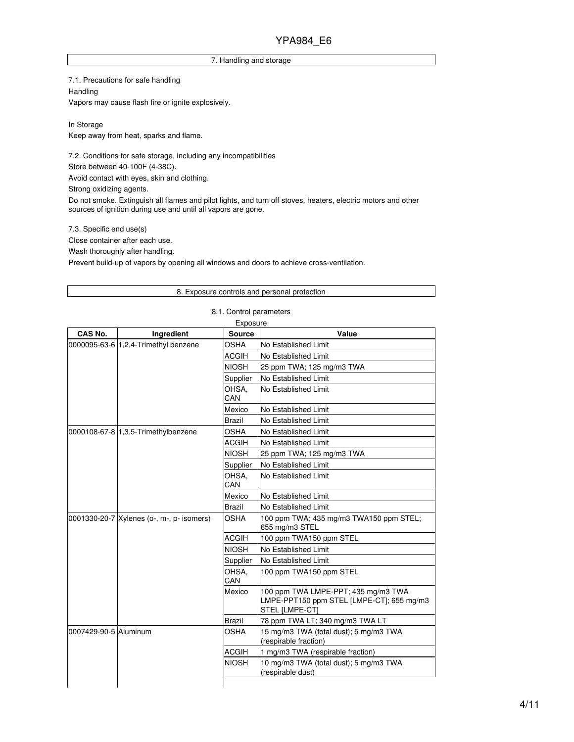#### 7. Handling and storage

7.1. Precautions for safe handling Handling Vapors may cause flash fire or ignite explosively.

In Storage Keep away from heat, sparks and flame.

7.2. Conditions for safe storage, including any incompatibilities Store between 40-100F (4-38C).

Avoid contact with eyes, skin and clothing.

Strong oxidizing agents.

Do not smoke. Extinguish all flames and pilot lights, and turn off stoves, heaters, electric motors and other sources of ignition during use and until all vapors are gone.

7.3. Specific end use(s)

Close container after each use.

Wash thoroughly after handling.

Prevent build-up of vapors by opening all windows and doors to achieve cross-ventilation.

#### 8. Exposure controls and personal protection

#### 8.1. Control parameters

| CAS No.               | Ingredient                                | <b>Source</b> | Value                                                                                              |
|-----------------------|-------------------------------------------|---------------|----------------------------------------------------------------------------------------------------|
|                       | 0000095-63-6 1.2.4-Trimethyl benzene      | <b>OSHA</b>   | No Established Limit                                                                               |
|                       |                                           | <b>ACGIH</b>  | No Established Limit                                                                               |
|                       |                                           | <b>NIOSH</b>  | 25 ppm TWA; 125 mg/m3 TWA                                                                          |
|                       |                                           | Supplier      | No Established Limit                                                                               |
|                       |                                           | OHSA,<br>CAN  | No Established Limit                                                                               |
|                       |                                           | Mexico        | No Established Limit                                                                               |
|                       |                                           | Brazil        | No Established Limit                                                                               |
|                       | 0000108-67-8 1,3,5-Trimethylbenzene       | <b>OSHA</b>   | No Established Limit                                                                               |
|                       |                                           | <b>ACGIH</b>  | No Established Limit                                                                               |
|                       |                                           | <b>NIOSH</b>  | 25 ppm TWA; 125 mg/m3 TWA                                                                          |
|                       |                                           | Supplier      | No Established Limit                                                                               |
|                       |                                           | OHSA.<br>CAN  | No Established Limit                                                                               |
|                       |                                           | Mexico        | No Established Limit                                                                               |
|                       |                                           | Brazil        | No Established Limit                                                                               |
|                       | 0001330-20-7 Xylenes (o-, m-, p- isomers) | <b>OSHA</b>   | 100 ppm TWA; 435 mg/m3 TWA150 ppm STEL;<br>655 mg/m3 STEL                                          |
|                       |                                           | <b>ACGIH</b>  | 100 ppm TWA150 ppm STEL                                                                            |
|                       |                                           | <b>NIOSH</b>  | No Established Limit                                                                               |
|                       |                                           | Supplier      | No Established Limit                                                                               |
|                       |                                           | OHSA,<br>CAN  | 100 ppm TWA150 ppm STEL                                                                            |
|                       |                                           | Mexico        | 100 ppm TWA LMPE-PPT; 435 mg/m3 TWA<br>LMPE-PPT150 ppm STEL [LMPE-CT]; 655 mg/m3<br>STEL [LMPE-CT] |
|                       |                                           | <b>Brazil</b> | 78 ppm TWA LT; 340 mg/m3 TWA LT                                                                    |
| 0007429-90-5 Aluminum |                                           | <b>OSHA</b>   | 15 mg/m3 TWA (total dust); 5 mg/m3 TWA<br>(respirable fraction)                                    |
|                       |                                           | <b>ACGIH</b>  | 1 mg/m3 TWA (respirable fraction)                                                                  |
|                       |                                           | <b>NIOSH</b>  | 10 mg/m3 TWA (total dust); 5 mg/m3 TWA<br>(respirable dust)                                        |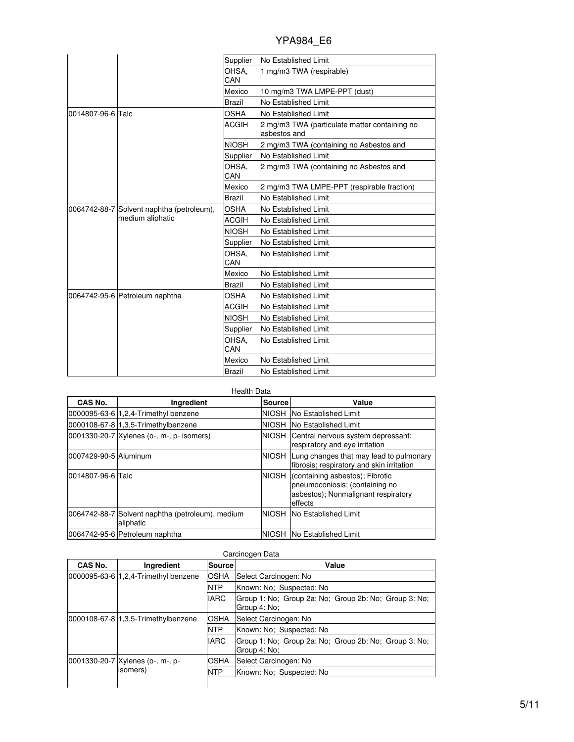|  | <b>YPA984 E6</b> |  |
|--|------------------|--|
|  |                  |  |

|                   |                                                               | Supplier      | No Established Limit                                          |
|-------------------|---------------------------------------------------------------|---------------|---------------------------------------------------------------|
|                   |                                                               | OHSA.<br>CAN  | 1 mg/m3 TWA (respirable)                                      |
|                   |                                                               | Mexico        | 10 mg/m3 TWA LMPE-PPT (dust)                                  |
|                   |                                                               | <b>Brazil</b> | No Established Limit                                          |
| 0014807-96-6 Talc |                                                               | <b>OSHA</b>   | No Established Limit                                          |
|                   |                                                               | <b>ACGIH</b>  | 2 mg/m3 TWA (particulate matter containing no<br>asbestos and |
|                   |                                                               | <b>NIOSH</b>  | 2 mg/m3 TWA (containing no Asbestos and                       |
|                   |                                                               | Supplier      | No Established Limit                                          |
|                   |                                                               | OHSA.<br>CAN  | 2 mg/m3 TWA (containing no Asbestos and                       |
|                   |                                                               | Mexico        | 2 mg/m3 TWA LMPE-PPT (respirable fraction)                    |
|                   |                                                               | <b>Brazil</b> | No Established Limit                                          |
|                   | 0064742-88-7 Solvent naphtha (petroleum),<br>medium aliphatic | <b>OSHA</b>   | No Established Limit                                          |
|                   |                                                               | ACGIH         | <b>No Established Limit</b>                                   |
|                   |                                                               | <b>NIOSH</b>  | No Established Limit                                          |
|                   |                                                               | Supplier      | No Established Limit                                          |
|                   |                                                               | OHSA.<br>CAN  | No Established Limit                                          |
|                   |                                                               | Mexico        | No Established Limit                                          |
|                   |                                                               | <b>Brazil</b> | No Established Limit                                          |
|                   | 0064742-95-6 Petroleum naphtha                                | OSHA          | No Established Limit                                          |
|                   |                                                               | <b>ACGIH</b>  | No Established Limit                                          |
|                   |                                                               | <b>NIOSH</b>  | No Established Limit                                          |
|                   |                                                               | Supplier      | No Established Limit                                          |
|                   |                                                               | OHSA,<br>CAN  | No Established Limit                                          |
|                   |                                                               | Mexico        | No Established Limit                                          |
|                   |                                                               | <b>Brazil</b> | No Established Limit                                          |

| <b>Health Data</b>    |                                                               |               |                                                                                                                             |
|-----------------------|---------------------------------------------------------------|---------------|-----------------------------------------------------------------------------------------------------------------------------|
| CAS No.               | Ingredient                                                    | <b>Source</b> | Value                                                                                                                       |
|                       | 0000095-63-6 1.2.4-Trimethyl benzene                          | <b>NIOSH</b>  | <b>No Established Limit</b>                                                                                                 |
|                       | 0000108-67-8 1,3,5-Trimethylbenzene                           | NIOSH         | No Established Limit                                                                                                        |
|                       | 0001330-20-7 Xylenes (o-, m-, p- isomers)                     |               | NIOSH Central nervous system depressant;<br>respiratory and eye irritation                                                  |
| 0007429-90-5 Aluminum |                                                               | NIOSH         | Lung changes that may lead to pulmonary<br>fibrosis; respiratory and skin irritation                                        |
| 0014807-96-6 Talc     |                                                               | <b>NIOSH</b>  | (containing asbestos); Fibrotic<br>pneumoconiosis; (containing no<br>asbestos); Nonmalignant respiratory<br><b>leffects</b> |
|                       | 0064742-88-7 Solvent naphtha (petroleum), medium<br>aliphatic |               | <b>NIOSH No Established Limit</b>                                                                                           |
|                       | 0064742-95-6 Petroleum naphtha                                |               | NIOSH INo Established Limit                                                                                                 |

| CAS No.                              | Ingredient                                   | Source      | Value                                                                 |
|--------------------------------------|----------------------------------------------|-------------|-----------------------------------------------------------------------|
| 0000095-63-6 1.2.4-Trimethyl benzene |                                              | OSHA        | Select Carcinogen: No                                                 |
|                                      |                                              | <b>NTP</b>  | Known: No: Suspected: No                                              |
|                                      |                                              | <b>IARC</b> | Group 1: No; Group 2a: No; Group 2b: No; Group 3: No;<br>Group 4: No: |
|                                      | 0000108-67-8 1.3.5-Trimethylbenzene          | <b>OSHA</b> | Select Carcinogen: No                                                 |
|                                      |                                              | <b>NTP</b>  | Known: No: Suspected: No                                              |
|                                      |                                              | <b>IARC</b> | Group 1: No; Group 2a: No; Group 2b: No; Group 3: No;<br>Group 4: No: |
|                                      | 0001330-20-7 Xylenes (o-, m-, p-<br>isomers) | <b>OSHA</b> | Select Carcinogen: No                                                 |
|                                      |                                              | <b>NTP</b>  | Known: No: Suspected: No                                              |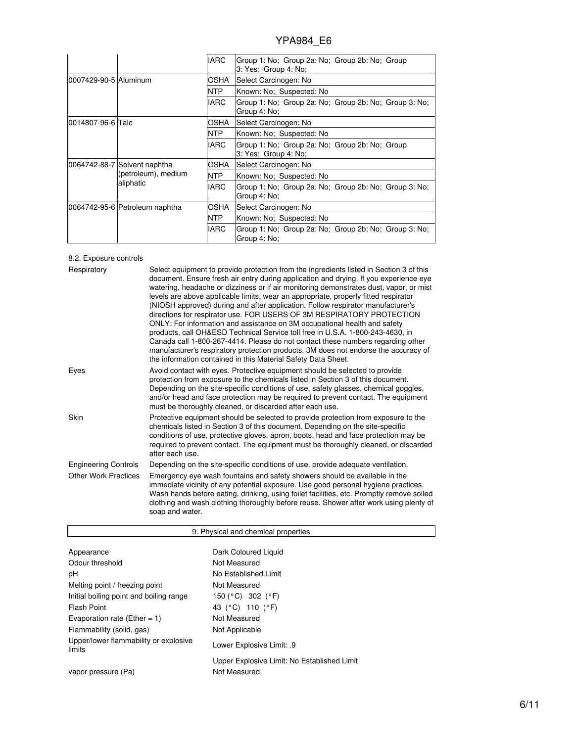|                       |                                                                  | <b>IARC</b>  | Group 1: No; Group 2a: No; Group 2b: No; Group<br>3: Yes; Group 4: No; |
|-----------------------|------------------------------------------------------------------|--------------|------------------------------------------------------------------------|
| 0007429-90-5 Aluminum |                                                                  | OSHA         | Select Carcinogen: No                                                  |
|                       |                                                                  | <b>NTP</b>   | Known: No: Suspected: No                                               |
|                       |                                                                  | <b>IARC</b>  | Group 1: No; Group 2a: No; Group 2b: No; Group 3: No;<br>Group 4: No:  |
| 0014807-96-6 Talc     |                                                                  | OSHA         | Select Carcinogen: No                                                  |
|                       |                                                                  | NTP.         | Known: No: Suspected: No                                               |
|                       |                                                                  | <b>IARC</b>  | Group 1: No; Group 2a: No; Group 2b: No; Group<br>3: Yes; Group 4: No; |
|                       | 0064742-88-7 Solvent naphtha<br>(petroleum), medium<br>aliphatic | OSHA         | Select Carcinogen: No                                                  |
|                       |                                                                  | NTP.         | Known: No; Suspected: No                                               |
|                       |                                                                  | <b>IARC</b>  | Group 1: No; Group 2a: No; Group 2b: No; Group 3: No;<br>Group 4: No:  |
|                       | 0064742-95-6 Petroleum naphtha                                   | <b>IOSHA</b> | Select Carcinogen: No                                                  |
|                       |                                                                  | <b>NTP</b>   | Known: No; Suspected: No                                               |
|                       |                                                                  | <b>IARC</b>  | Group 1: No; Group 2a: No; Group 2b: No; Group 3: No;<br>Group 4: No:  |

### 8.2. Exposure controls

| Respiratory                 | Select equipment to provide protection from the ingredients listed in Section 3 of this<br>document. Ensure fresh air entry during application and drying. If you experience eye<br>watering, headache or dizziness or if air monitoring demonstrates dust, vapor, or mist<br>levels are above applicable limits, wear an appropriate, properly fitted respirator<br>(NIOSH approved) during and after application. Follow respirator manufacturer's<br>directions for respirator use. FOR USERS OF 3M RESPIRATORY PROTECTION<br>ONLY: For information and assistance on 3M occupational health and safety<br>products, call OH&ESD Technical Service toll free in U.S.A. 1-800-243-4630, in<br>Canada call 1-800-267-4414. Please do not contact these numbers regarding other<br>manufacturer's respiratory protection products. 3M does not endorse the accuracy of<br>the information contained in this Material Safety Data Sheet. |
|-----------------------------|-----------------------------------------------------------------------------------------------------------------------------------------------------------------------------------------------------------------------------------------------------------------------------------------------------------------------------------------------------------------------------------------------------------------------------------------------------------------------------------------------------------------------------------------------------------------------------------------------------------------------------------------------------------------------------------------------------------------------------------------------------------------------------------------------------------------------------------------------------------------------------------------------------------------------------------------|
| Eyes                        | Avoid contact with eyes. Protective equipment should be selected to provide<br>protection from exposure to the chemicals listed in Section 3 of this document.<br>Depending on the site-specific conditions of use, safety glasses, chemical goggles,<br>and/or head and face protection may be required to prevent contact. The equipment<br>must be thoroughly cleaned, or discarded after each use.                                                                                                                                                                                                                                                                                                                                                                                                                                                                                                                                  |
| Skin                        | Protective equipment should be selected to provide protection from exposure to the<br>chemicals listed in Section 3 of this document. Depending on the site-specific<br>conditions of use, protective gloves, apron, boots, head and face protection may be<br>required to prevent contact. The equipment must be thoroughly cleaned, or discarded<br>after each use.                                                                                                                                                                                                                                                                                                                                                                                                                                                                                                                                                                   |
| <b>Engineering Controls</b> | Depending on the site-specific conditions of use, provide adequate ventilation.                                                                                                                                                                                                                                                                                                                                                                                                                                                                                                                                                                                                                                                                                                                                                                                                                                                         |
| <b>Other Work Practices</b> | Emergency eye wash fountains and safety showers should be available in the<br>immediate vicinity of any potential exposure. Use good personal hygiene practices.<br>Wash hands before eating, drinking, using toilet facilities, etc. Promptly remove soiled<br>clothing and wash clothing thoroughly before reuse. Shower after work using plenty of<br>soap and water.                                                                                                                                                                                                                                                                                                                                                                                                                                                                                                                                                                |

| 9. Physical and chemical properties             |                                             |  |  |
|-------------------------------------------------|---------------------------------------------|--|--|
|                                                 |                                             |  |  |
| Appearance                                      | Dark Coloured Liquid                        |  |  |
| Odour threshold                                 | Not Measured                                |  |  |
| рH                                              | No Established Limit                        |  |  |
| Melting point / freezing point                  | Not Measured                                |  |  |
| Initial boiling point and boiling range         | 150 (°C) 302 (°F)                           |  |  |
| Flash Point                                     | 43 (°C) 110 (°F)                            |  |  |
| Evaporation rate (Ether = 1)                    | Not Measured                                |  |  |
| Flammability (solid, gas)                       | Not Applicable                              |  |  |
| Upper/lower flammability or explosive<br>limits | Lower Explosive Limit: .9                   |  |  |
|                                                 | Upper Explosive Limit: No Established Limit |  |  |
| vapor pressure (Pa)                             | Not Measured                                |  |  |

 $\overline{\phantom{0}}$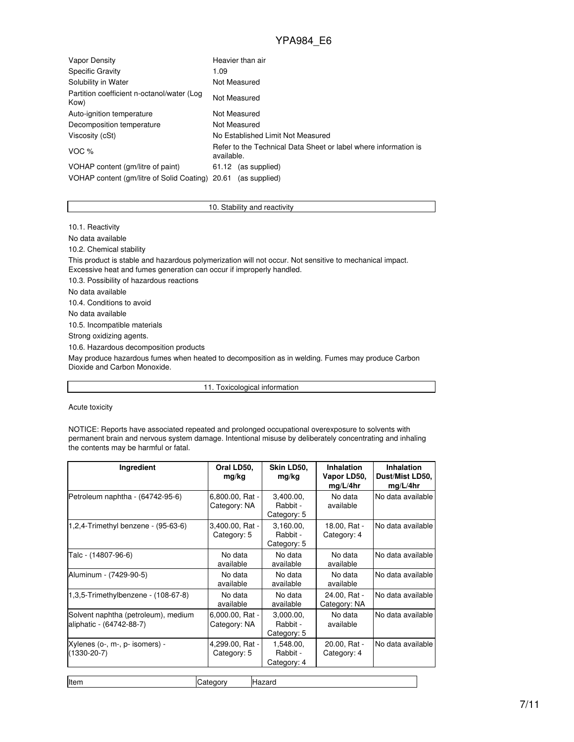| Vapor Density                                      | Heavier than air                                                              |  |  |  |
|----------------------------------------------------|-------------------------------------------------------------------------------|--|--|--|
| <b>Specific Gravity</b>                            | 1.09                                                                          |  |  |  |
| Solubility in Water                                | Not Measured                                                                  |  |  |  |
| Partition coefficient n-octanol/water (Log<br>Kow) | Not Measured                                                                  |  |  |  |
| Auto-ignition temperature                          | Not Measured                                                                  |  |  |  |
| Decomposition temperature                          | Not Measured                                                                  |  |  |  |
| Viscosity (cSt)                                    | No Established Limit Not Measured                                             |  |  |  |
| VOC %                                              | Refer to the Technical Data Sheet or label where information is<br>available. |  |  |  |
| VOHAP content (gm/litre of paint)                  | 61.12 (as supplied)                                                           |  |  |  |
| VOHAP content (gm/litre of Solid Coating) 20.61    | (as supplied)                                                                 |  |  |  |

#### 10. Stability and reactivity

10.1. Reactivity

No data available

10.2. Chemical stability

This product is stable and hazardous polymerization will not occur. Not sensitive to mechanical impact. Excessive heat and fumes generation can occur if improperly handled.

10.3. Possibility of hazardous reactions

No data available

10.4. Conditions to avoid

No data available

10.5. Incompatible materials

Strong oxidizing agents.

10.6. Hazardous decomposition products

May produce hazardous fumes when heated to decomposition as in welding. Fumes may produce Carbon Dioxide and Carbon Monoxide.

11. Toxicological information

Acute toxicity

NOTICE: Reports have associated repeated and prolonged occupational overexposure to solvents with permanent brain and nervous system damage. Intentional misuse by deliberately concentrating and inhaling the contents may be harmful or fatal.

| Ingredient                                                      | Oral LD50,<br>mg/kg             | Skin LD50,<br>mg/kg                  | <b>Inhalation</b><br>Vapor LD50,<br>mg/L/4hr | <b>Inhalation</b><br>Dust/Mist LD50,<br>mg/L/4hr |
|-----------------------------------------------------------------|---------------------------------|--------------------------------------|----------------------------------------------|--------------------------------------------------|
| Petroleum naphtha - (64742-95-6)                                | 6,800.00, Rat -<br>Category: NA | 3,400.00,<br>Rabbit -<br>Category: 5 | No data<br>available                         | No data available                                |
| 1,2,4-Trimethyl benzene - $(95-63-6)$                           | 3,400.00, Rat -<br>Category: 5  | 3,160.00,<br>Rabbit -<br>Category: 5 | 18.00, Rat -<br>Category: 4                  | No data available                                |
| Talc - (14807-96-6)                                             | No data<br>available            | No data<br>available                 | No data<br>available                         | No data available                                |
| Aluminum - (7429-90-5)                                          | No data<br>available            | No data<br>available                 | No data<br>available                         | No data available                                |
| 1,3,5-Trimethylbenzene - (108-67-8)                             | No data<br>available            | No data<br>available                 | 24.00, Rat -<br>Category: NA                 | No data available                                |
| Solvent naphtha (petroleum), medium<br>aliphatic - (64742-88-7) | 6,000.00, Rat -<br>Category: NA | 3,000.00,<br>Rabbit -<br>Category: 5 | No data<br>available                         | No data available                                |
| Xylenes (o-, m-, p- isomers) -<br>$(1330 - 20 - 7)$             | 4,299.00, Rat -<br>Category: 5  | 1,548.00,<br>Rabbit -<br>Category: 4 | 20.00, Rat -<br>Category: 4                  | No data available                                |

Item Category Hazard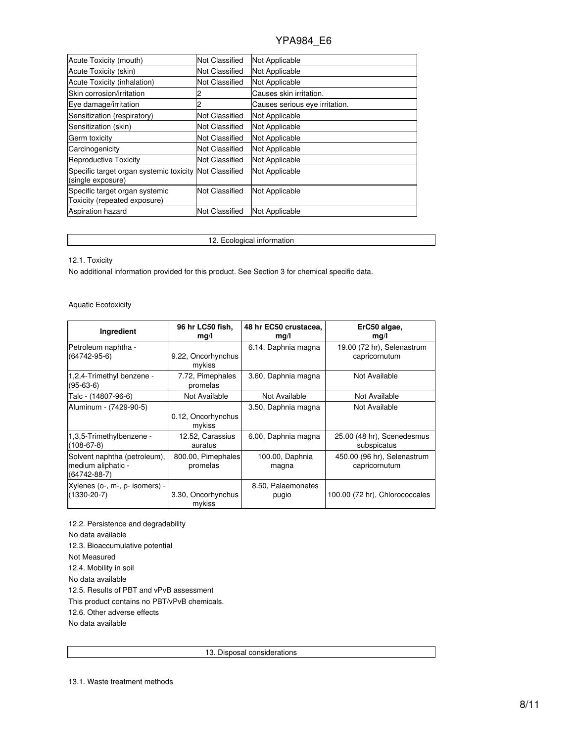| Acute Toxicity (mouth)                                                      | <b>Not Classified</b> | Not Applicable                 |
|-----------------------------------------------------------------------------|-----------------------|--------------------------------|
| Acute Toxicity (skin)                                                       | Not Classified        | Not Applicable                 |
|                                                                             |                       |                                |
| Acute Toxicity (inhalation)                                                 | Not Classified        | Not Applicable                 |
| Skin corrosion/irritation                                                   |                       | Causes skin irritation.        |
| Eye damage/irritation                                                       |                       | Causes serious eye irritation. |
| Sensitization (respiratory)                                                 | Not Classified        | Not Applicable                 |
| Sensitization (skin)                                                        | Not Classified        | Not Applicable                 |
| Germ toxicity                                                               | Not Classified        | Not Applicable                 |
| Carcinogenicity                                                             | Not Classified        | Not Applicable                 |
| <b>Reproductive Toxicity</b>                                                | Not Classified        | Not Applicable                 |
| Specific target organ systemic toxicity Not Classified<br>(single exposure) |                       | Not Applicable                 |
| Specific target organ systemic<br>Toxicity (repeated exposure)              | <b>Not Classified</b> | Not Applicable                 |
| <b>Aspiration hazard</b>                                                    | Not Classified        | Not Applicable                 |

12. Ecological information

12.1. Toxicity

No additional information provided for this product. See Section 3 for chemical specific data.

Aquatic Ecotoxicity

| Ingredient                                                               | 96 hr LC50 fish,               | 48 hr EC50 crustacea,    | ErC50 algae,                                 |
|--------------------------------------------------------------------------|--------------------------------|--------------------------|----------------------------------------------|
|                                                                          | mg/l                           | mg/l                     | mg/l                                         |
| Petroleum naphtha -                                                      | 9.22, Oncorhynchus             | 6.14, Daphnia magna      | 19.00 (72 hr), Selenastrum                   |
| (64742-95-6)                                                             | mykiss                         |                          | capricornutum                                |
| 1,2,4-Trimethyl benzene -<br>(95-63-6)                                   | 7.72, Pimephales<br>promelas   | 3.60, Daphnia magna      | Not Available                                |
| Talc - (14807-96-6)                                                      | Not Available                  | Not Available            | Not Available                                |
| Aluminum - (7429-90-5)                                                   | 0.12, Oncorhynchus<br>mykiss   | 3.50, Daphnia magna      | Not Available                                |
| 1,3,5-Trimethylbenzene -                                                 | 12.52, Carassius               | 6.00, Daphnia magna      | 25.00 (48 hr), Scenedesmus                   |
| $(108 - 67 - 8)$                                                         | auratus                        |                          | subspicatus                                  |
| Solvent naphtha (petroleum),<br>medium aliphatic -<br>$(64742 - 88 - 7)$ | 800.00, Pimephales<br>promelas | 100.00, Daphnia<br>magna | 450.00 (96 hr), Selenastrum<br>capricornutum |
| Xylenes (o-, m-, p- isomers) -                                           | 3.30, Oncorhynchus             | 8.50, Palaemonetes       | 100.00 (72 hr), Chlorococcales               |
| $(1330 - 20 - 7)$                                                        | mykiss                         | pugio                    |                                              |

12.2. Persistence and degradability No data available 12.3. Bioaccumulative potential Not Measured 12.4. Mobility in soil No data available 12.5. Results of PBT and vPvB assessment This product contains no PBT/vPvB chemicals. 12.6. Other adverse effects No data available

13. Disposal considerations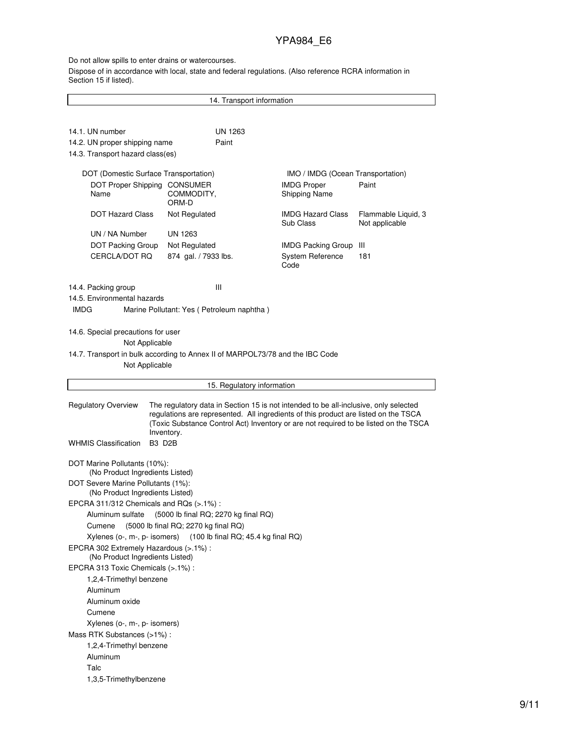#### Do not allow spills to enter drains or watercourses.

Dispose of in accordance with local, state and federal regulations. (Also reference RCRA information in Section 15 if listed).

14. Transport information 14.1. UN number UN 1263 14.2. UN proper shipping name Paint 14.3. Transport hazard class(es) DOT (Domestic Surface Transportation) IMO / IMDG (Ocean Transportation) DOT Proper Shipping CONSUMER Name COMMODITY, ORM-D IMDG Proper Shipping Name Paint DOT Hazard Class Not Regulated IMDG Hazard Class Sub Class Flammable Liquid, 3 Not applicable UN / NA Number UN 1263 DOT Packing Group Not Regulated IMDG Packing Group III CERCLA/DOT RQ 874 gal. / 7933 lbs. System Reference Code 181 14.4. Packing group III 14.5. Environmental hazards IMDG Marine Pollutant: Yes ( Petroleum naphtha ) 14.6. Special precautions for user Not Applicable 14.7. Transport in bulk according to Annex II of MARPOL73/78 and the IBC Code Not Applicable 15. Regulatory information Regulatory Overview The regulatory data in Section 15 is not intended to be all-inclusive, only selected regulations are represented. All ingredients of this product are listed on the TSCA (Toxic Substance Control Act) Inventory or are not required to be listed on the TSCA Inventory. WHMIS Classification B3 D2B DOT Marine Pollutants (10%): (No Product Ingredients Listed) DOT Severe Marine Pollutants (1%): (No Product Ingredients Listed) EPCRA 311/312 Chemicals and RQs (>.1%) : Aluminum sulfate (5000 lb final RQ; 2270 kg final RQ) Cumene (5000 lb final RQ; 2270 kg final RQ) Xylenes (o-, m-, p- isomers) (100 lb final RQ; 45.4 kg final RQ) EPCRA 302 Extremely Hazardous (>.1%) : (No Product Ingredients Listed) EPCRA 313 Toxic Chemicals (>.1%) : 1,2,4-Trimethyl benzene Aluminum Aluminum oxide Cumene Xylenes (o-, m-, p- isomers) Mass RTK Substances (>1%) : 1,2,4-Trimethyl benzene Aluminum Talc 1,3,5-Trimethylbenzene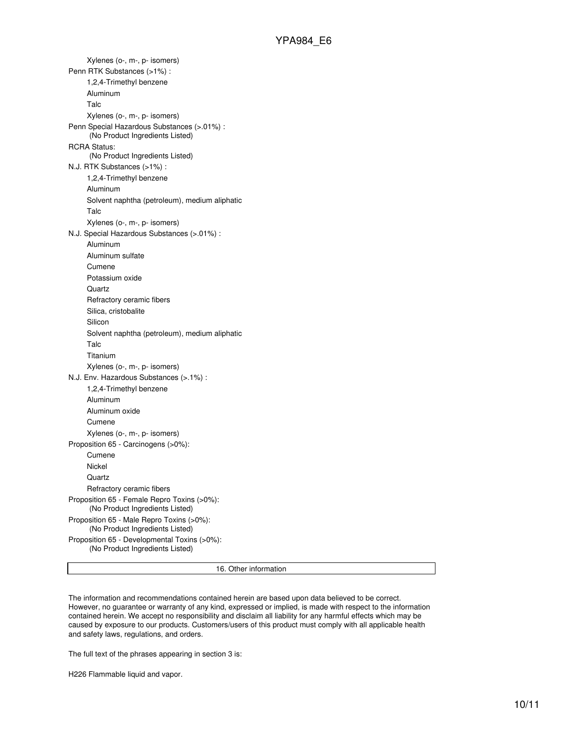Xylenes (o-, m-, p- isomers) Penn RTK Substances (>1%) : 1,2,4-Trimethyl benzene Aluminum Talc Xylenes (o-, m-, p- isomers) Penn Special Hazardous Substances (>.01%) : (No Product Ingredients Listed) RCRA Status: (No Product Ingredients Listed) N.J. RTK Substances (>1%) : 1,2,4-Trimethyl benzene Aluminum Solvent naphtha (petroleum), medium aliphatic Talc Xylenes (o-, m-, p- isomers) N.J. Special Hazardous Substances (>.01%) : Aluminum Aluminum sulfate Cumene Potassium oxide **Quartz** Refractory ceramic fibers Silica, cristobalite Silicon Solvent naphtha (petroleum), medium aliphatic Talc Titanium Xylenes (o-, m-, p- isomers) N.J. Env. Hazardous Substances (>.1%) : 1,2,4-Trimethyl benzene Aluminum Aluminum oxide Cumene Xylenes (o-, m-, p- isomers) Proposition 65 - Carcinogens (>0%): Cumene Nickel **Quartz** Refractory ceramic fibers Proposition 65 - Female Repro Toxins (>0%): (No Product Ingredients Listed) Proposition 65 - Male Repro Toxins (>0%): (No Product Ingredients Listed) Proposition 65 - Developmental Toxins (>0%): (No Product Ingredients Listed)

16. Other information

The information and recommendations contained herein are based upon data believed to be correct. However, no guarantee or warranty of any kind, expressed or implied, is made with respect to the information contained herein. We accept no responsibility and disclaim all liability for any harmful effects which may be caused by exposure to our products. Customers/users of this product must comply with all applicable health and safety laws, regulations, and orders.

The full text of the phrases appearing in section 3 is:

H226 Flammable liquid and vapor.